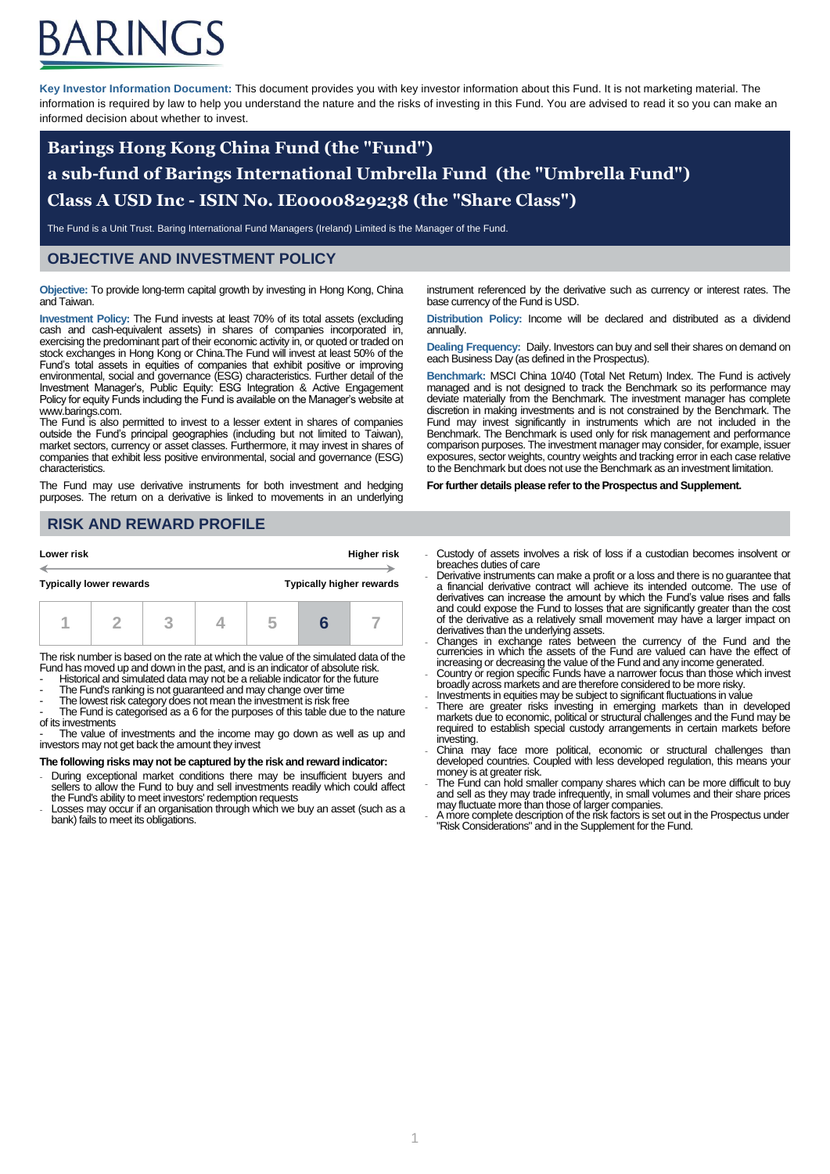# ARINGS

**Key Investor Information Document:** This document provides you with key investor information about this Fund. It is not marketing material. The information is required by law to help you understand the nature and the risks of investing in this Fund. You are advised to read it so you can make an informed decision about whether to invest.

## **Barings Hong Kong China Fund (the "Fund") a sub-fund of Barings International Umbrella Fund (the "Umbrella Fund") Class A USD Inc - ISIN No. IE0000829238 (the "Share Class")**

The Fund is a Unit Trust. Baring International Fund Managers (Ireland) Limited is the Manager of the Fund.

## **OBJECTIVE AND INVESTMENT POLICY**

**Objective:** To provide long-term capital growth by investing in Hong Kong, China and Taiwan.

**Investment Policy:** The Fund invests at least 70% of its total assets (excluding cash and cash-equivalent assets) in shares of companies incorporated in, exercising the predominant part of their economic activity in, or quoted or traded on stock exchanges in Hong Kong or China.The Fund will invest at least 50% of the Fund's total assets in equities of companies that exhibit positive or improving environmental, social and governance (ESG) characteristics. Further detail of the Investment Manager's, Public Equity: ESG Integration & Active Engagement Policy for equity Funds including the Fund is available on the Manager's website at www.barings.com.

The Fund is also permitted to invest to a lesser extent in shares of companies outside the Fund's principal geographies (including but not limited to Taiwan), market sectors, currency or asset classes. Furthermore, it may invest in shares of companies that exhibit less positive environmental, social and governance (ESG) characteristics.

The Fund may use derivative instruments for both investment and hedging purposes. The return on a derivative is linked to movements in an underlying instrument referenced by the derivative such as currency or interest rates. The base currency of the Fund is USD.

**Distribution Policy:** Income will be declared and distributed as a dividend annually.

**Dealing Frequency:** Daily. Investors can buy and sell their shares on demand on each Business Day (as defined in the Prospectus).

**Benchmark:** MSCI China 10/40 (Total Net Return) Index. The Fund is actively managed and is not designed to track the Benchmark so its performance may deviate materially from the Benchmark. The investment manager has complete discretion in making investments and is not constrained by the Benchmark. The Fund may invest significantly in instruments which are not included in the Benchmark. The Benchmark is used only for risk management and performance comparison purposes. The investment manager may consider, for example, issuer exposures, sector weights, country weights and tracking error in each case relative to the Benchmark but does not use the Benchmark as an investment limitation.

**For further details please refer to the Prospectus and Supplement.**

## **RISK AND REWARD PROFILE**

| Lower risk                                                        |  |  | <b>Higher risk</b> |  |  |  |
|-------------------------------------------------------------------|--|--|--------------------|--|--|--|
| <b>Typically higher rewards</b><br><b>Typically lower rewards</b> |  |  |                    |  |  |  |
|                                                                   |  |  |                    |  |  |  |

The risk number is based on the rate at which the value of the simulated data of the Fund has moved up and down in the past, and is an indicator of absolute risk.

- Historical and simulated data may not be a reliable indicator for the future
- The Fund's ranking is not guaranteed and may change over time The lowest risk category does not mean the investment is risk free
- 

The Fund is categorised as a 6 for the purposes of this table due to the nature of its investments

The value of investments and the income may go down as well as up and investors may not get back the amount they invest

#### **The following risks may not be captured by the risk and reward indicator:**

- During exceptional market conditions there may be insufficient buyers and sellers to allow the Fund to buy and sell investments readily which could affect the Fund's ability to meet investors' redemption requests
- Losses may occur if an organisation through which we buy an asset (such as a bank) fails to meet its obligations.
- Custody of assets involves a risk of loss if a custodian becomes insolvent or breaches duties of care
- Derivative instruments can make a profit or a loss and there is no guarantee that a financial derivative contract will achieve its intended outcome. The use of derivatives can increase the amount by which the Fund's value rises and falls and could expose the Fund to losses that are significantly greater than the cost of the derivative as a relatively small movement may have a larger impact on derivatives than the underlying assets. - Changes in exchange rates between the currency of the Fund and the
- currencies in which the assets of the Fund are valued can have the effect of increasing or decreasing the value of the Fund and any income generated. - Country or region specific Funds have a narrower focus than those which invest
- broadly across markets and are therefore considered to be more risky.
- Investments in equities may be subject to significant fluctuations in value
- There are greater risks investing in emerging markets than in developed markets due to economic, political or structural challenges and the Fund may be required to establish special custody arrangements in certain markets before investing.
- China may face more political, economic or structural challenges than developed countries. Coupled with less developed regulation, this means your money is at greater risk.
- The Fund can hold smaller company shares which can be more difficult to buy and sell as they may trade infrequently, in small volumes and their share prices may fluctuate more than those of larger companies.
- A more complete description of the risk factors is set out in the Prospectus under "Risk Considerations" and in the Supplement for the Fund.